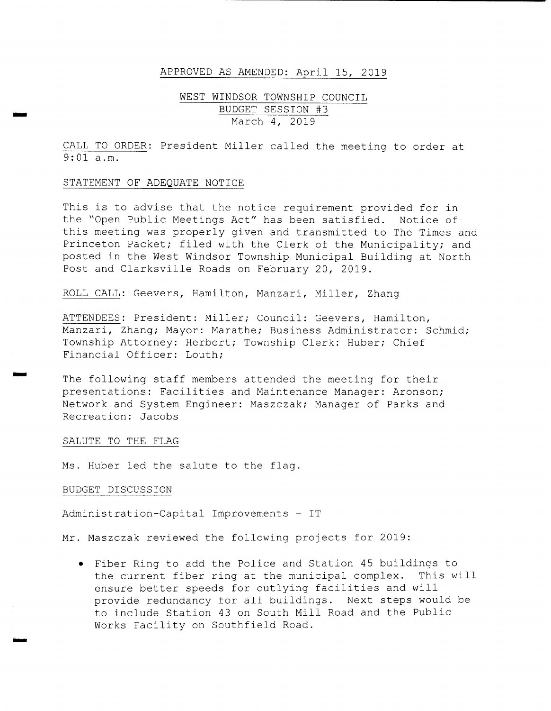### APPROVED AS AMENDED: April 15, 2019

## WEST WINDSOR TOWNSHIP COUNCIL BUDGET SESSION #3 March 4, 2019

CALL TO ORDER: President Miller called the meeting to order at  $9:01$  a.m.

#### STATEMENT OF ADEQUATE NOTICE

wiro

w`

This is to advise that the notice requirement provided for in the "Open Public Meetings Act" has been satisfied. Notice of this meeting was properly given and transmitted to The Times and Princeton Packet; filed with the Clerk of the Municipality; and posted in the West Windsor Township Municipal Building at North Post and Clarksville Roads on February 20, 2019.

ROLL CALL: Geevers, Hamilton, Manzari, Miller, Zhang

ATTENDEES: President: Miller; Council: Geevers, Hamilton, Manzari, Zhang; Mayor: Marathe; Business Administrator: Schmid; Township Attorney: Herbert; Township Clerk: Huber; Chief Financial Officer: Louth;

The following staff members attended the meeting for their presentations: Facilities and Maintenance Manager: Aronson; Network and System Engineer: Maszczak; Manager of Parks and Recreation: Jacobs

### SALUTE TO THE FLAG

Ms. Huber led the salute to the flag.

#### BUDGET DISCUSSION

Administration-Capital Improvements - IT

Mr. Maszczak reviewed the following projects for 2019:

Fiber Ring to add the Police and Station <sup>45</sup> buildings to the current fiber ring at the municipal complex. This will ensure better speeds for outlying facilities and will provide redundancy for all buildings. Next steps would be to include Station <sup>43</sup> on South Mill Road and the Public Works Facility on Southfield Road.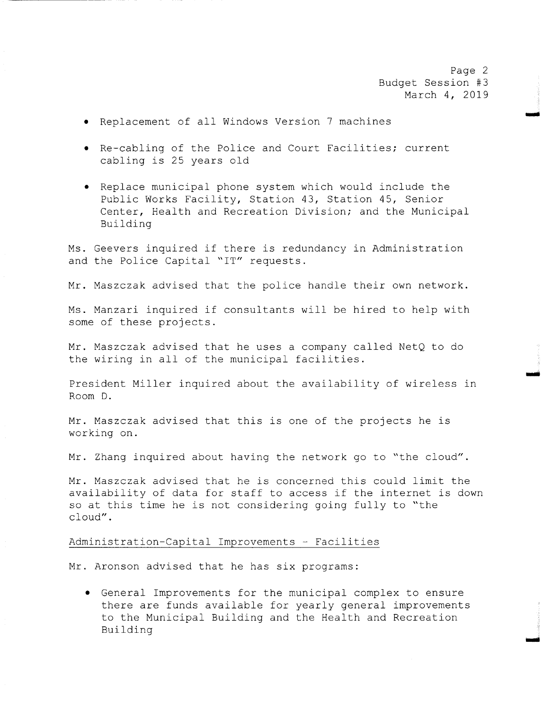Page 2 Budget Session #3 March 4, 2019

Nam

- Replacement of all Windows Version <sup>7</sup> machines
- Re- cabling of the Police and Court Facilities; current cabling is <sup>25</sup> years old
- Replace municipal phone system which would include the Public Works Facility, Station 43, Station 45, Senior Center, Health and Recreation Division; and the Municipal Building

Ms . Geevers inquired if there is redundancy in Administration and the Police Capital "IT" requests.

Mr. Maszczak advised that the police handle their own network.

Ms. Manzari inquired if consultants will be hired to help with some of these projects .

Mr. Maszczak advised that he uses <sup>a</sup> company called NetQ to do the wiring in all of the municipal facilities .

President Miller inquired about the availability of wireless in Room D.

Mr. Maszczak advised that this is one of the projects he is working on.

Mr. Zhang inquired about having the network go to "the cloud".

Mr. Maszczak advised that he is concerned this could limit the availability of data for staff to access if the internet is down so at this time he is not considering going fully to "the cloud".

#### Administration- Capital Improvements - Facilities

Mr. Aronson advised that he has six programs:

General Improvements for the municipal complex to ensure there are funds available for yearly general improvements to the Municipal Building and the Health and Recreation Building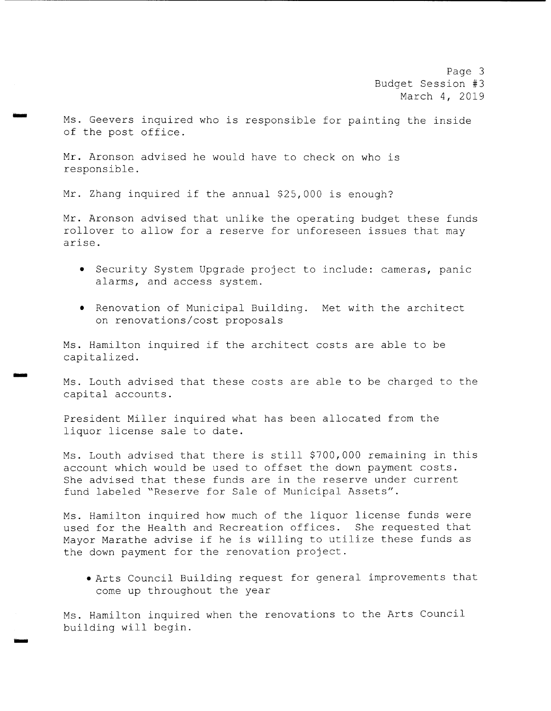Page 3 Budget Session #3 March 4, 2019

Ms . Geevers inquired who is responsible for painting the inside of the post office .

Mr. Aronson advised he would have to check on who is responsible .

Mr. Zhang inquired if the annual \$25,000 is enough?

Mr. Aronson advised that unlike the operating budget these funds rollover to allow for <sup>a</sup> reserve for unforeseen issues that may arise .

- Security System Upgrade project to include: cameras, panic alarms, and access system.
- Renovation of Municipal Building. Met with the architect on renovations/ cost proposals

Ms. Hamilton inquired if the architect costs are able to be capitalized.

NNW

Ms. Louth advised that these costs are able to be charged to the capital accounts .

President Miller inquired what has been allocated from the liquor license sale to date.

Ms. Louth advised that there is still \$700,000 remaining in this account which would be used to offset the down payment costs . She advised that these funds are in the reserve under current fund labeled "Reserve for Sale of Municipal Assets".

Ms. Hamilton inquired how much of the liquor license funds were used for the Health and Recreation offices. She requested that Mayor Marathe advise if he is willing to utilize these funds as the down payment for the renovation project .

Arts Council Building request for general improvements that come up throughout the year

Ms . Hamilton inquired when the renovations to the Arts Council building will begin.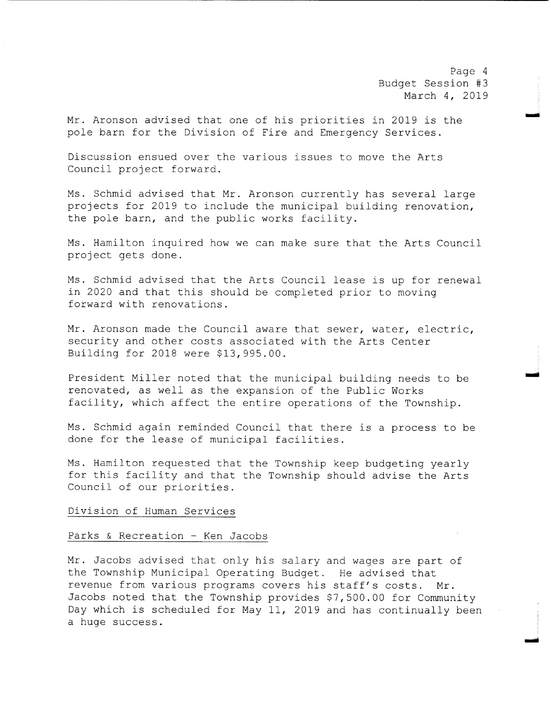Page <sup>4</sup> Budget Session #3 March 4, 2019

moo

oo

.<br>أ<sup>ن</sup>تسى:

Mr. Aronson advised that one of his priorities in <sup>2019</sup> is the pole barn for the Division of Fire and Emergency Services .

Discussion ensued over the various issues to move the Arts Council project forward.

Ms. Schmid advised that Mr. Aronson currently has several large projects for 2019 to include the municipal building renovation, the pole barn, and the public works facility.

Ms. Hamilton inquired how we can make sure that the Arts Council project gets done .

Ms. Schmid advised that the Arts Council lease is up for renewal in <sup>2020</sup> and that this should be completed prior to moving forward with renovations .

Mr. Aronson made the Council aware that sewer, water, electric, security and other costs associated with the Arts Center Building for 2018 were \$13,995.00.

President Miller noted that the municipal building needs to be renovated, as well as the expansion of the Public Works facility, which affect the entire operations of the Township.

Ms. Schmid again reminded Council that there is a process to be done for the lease of municipal facilities .

Ms . Hamilton requested that the Township keep budgeting yearly for this facility and that the Township should advise the Arts Council of our priorities .

#### Division of Human Services

# Parks & Recreation - Ken Jacobs

Mr. Jacobs advised that only his salary and wages are part of the Township Municipal Operating Budget. He advised that revenue from various programs covers his staff's costs. Mr. Jacobs noted that the Township provides \$7,500.00 for Community Day which is scheduled for May 11, <sup>2019</sup> and has continually been <sup>a</sup> huge success .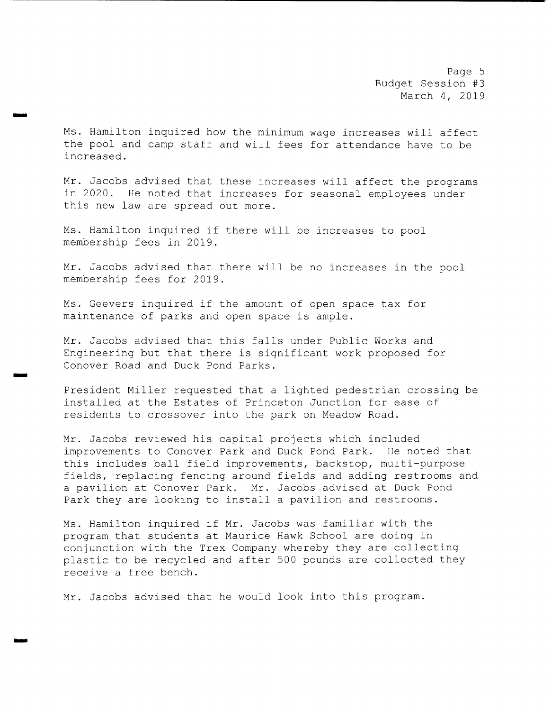Page 5 Budget Session #3 March 4, 2019

Ms . Hamilton inquired how the minimum wage increases will affect the pool and camp staff and will fees for attendance have to be increased.

Mr. Jacobs advised that these increases will affect the programs in 2020. He noted that increases for seasonal employees under this new law are spread out more.

Ms. Hamilton inquired if there will be increases to pool membership fees in 2019.

mom

rr.r

Mr. Jacobs advised that there will be no increases in the pool membership fees for 2019 .

Ms. Geevers inquired if the amount of open space tax for maintenance of parks and open space is ample.

Mr. Jacobs advised that this falls under Public Works and Engineering but that there is significant work proposed for Conover Road and Duck Pond Parks .

President Miller requested that <sup>a</sup> lighted pedestrian crossing be installed at the Estates of Princeton Junction for ease of residents to crossover into the park on Meadow Road.

Mr. Jacobs reviewed his capital projects which included improvements to Conover Park and Duck Pond Park. He noted that this includes ball field improvements, backstop, multi-purpose fields, replacing fencing around fields and adding restrooms and <sup>a</sup> pavilion at Conover Park. Mr. Jacobs advised at Duck Pond Park they are looking to install a pavilion and restrooms.

Ms. Hamilton inquired if Mr. Jacobs was familiar with the program that students at Maurice Hawk School are doing in conjunction with the Trex Company whereby they are collecting plastic to be recycled and after <sup>500</sup> pounds are collected they receive <sup>a</sup> free bench.

Mr. Jacobs advised that he would look into this program.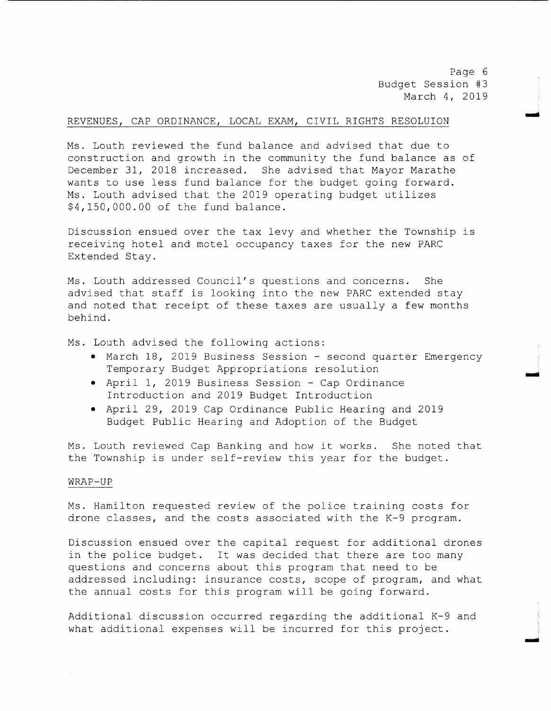Page 6 Budget Session #3 March 4, 2019

mod

## REVENUES, CAP ORDINANCE, LOCAL EXAM, CIVIL RIGHTS RESOLUION

Ms . Louth reviewed the fund balance and advised that due to construction and growth in the community the fund balance as of December 31, 2018 increased. She advised that Mayor Marathe wants to use less fund balance for the budget going forward. Ms. Louth advised that the 2019 operating budget utilizes \$4, 150, 000.00 of the fund balance.

Discussion ensued over the tax levy and whether the Township is receiving hotel and motel occupancy taxes for the new PARC Extended Stay.

Ms. Louth addressed Council's questions and concerns. She advised that staff is looking into the new PARC extended stay and noted that receipt of these taxes are usually <sup>a</sup> few months behind.

Ms. Louth advised the following actions:

- March 18, 2019 Business Session second quarter Emergency Temporary Budget Appropriations resolution
- April 1, 2019 Business Session Cap Ordinance Introduction and 2019 Budget Introduction
- April 29, <sup>2019</sup> Cap Ordinance Public Hearing and <sup>2019</sup> Budget Public Hearing and Adoption of the Budget

Ms. Louth reviewed Cap Banking and how it works. She noted that the Township is under self-review this year for the budget.

#### WRAP- UP

Ms. Hamilton requested review of the police training costs for drone classes, and the costs associated with the K-9 program.

Discussion ensued over the capital request for additional drones in the police budget. It was decided that there are too many questions and concerns about this program that need to be addressed including: insurance costs, scope of program, and what the annual costs for this program will be going forward.

Additional discussion occurred regarding the additional  $K-9$  and what additional expenses will be incurred for this project .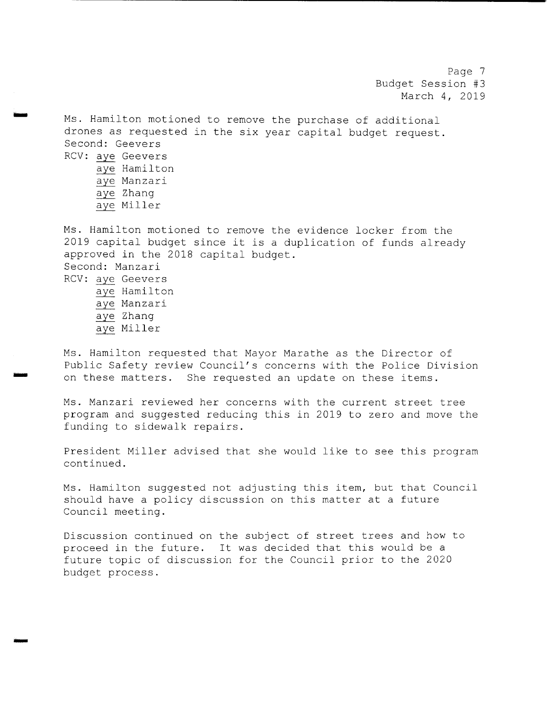Page <sup>7</sup> Budget Session #3 March 4, 2019

Ms. Hamilton motioned to remove the purchase of additional drones as requested in the six year capital budget request . Second: Geevers RCV: aye Geevers aye Hamilton aye Manzari aye Zhang aye Miller

Ms. Hamilton motioned to remove the evidence locker from the <sup>2019</sup> capital budget since it is <sup>a</sup> duplication of funds already approved in the 2018 capital budget . Second: Manzari RCV: aye Geevers aye Hamilton aye Manzari aye Zhang aye Miller

Ms. Hamilton requested that Mayor Marathe as the Director of Public Safety review Council's concerns with the Police Division<br>on these matters. She requested an update on these items. She requested an update on these items.

Ms . Manzari reviewed her concerns with the current street tree program and suggested reducing this in <sup>2019</sup> to zero and move the funding to sidewalk repairs .

President Miller advised that she would like to see this program continued.

Ms. Hamilton suggested not adjusting this item, but that Council should have <sup>a</sup> policy discussion on this matter at <sup>a</sup> future Council meeting.

Discussion continued on the subject of street trees and how to proceed in the future. It was decided that this would be a future topic of discussion for the Council prior to the <sup>2020</sup> budget process .